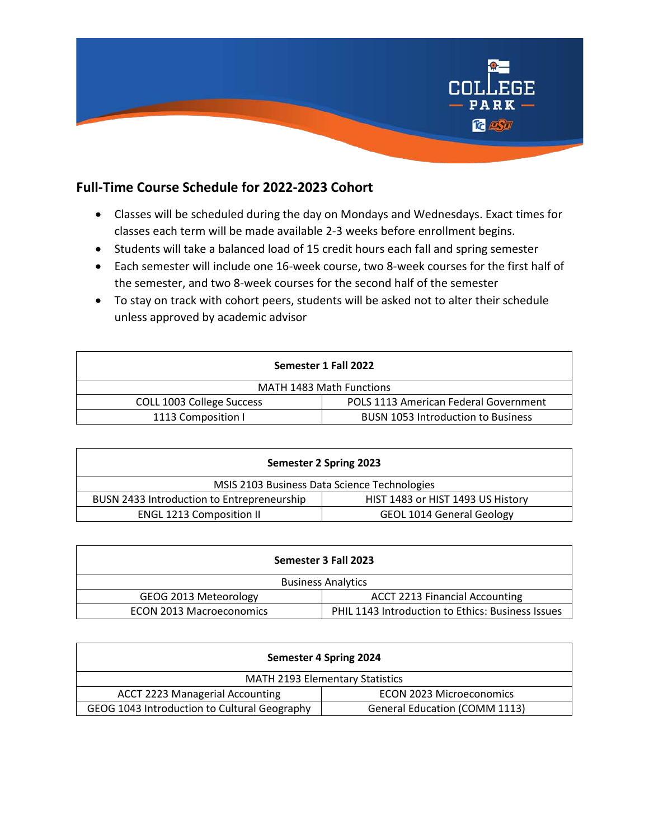

## **Full-Time Course Schedule for 2022-2023 Cohort**

- Classes will be scheduled during the day on Mondays and Wednesdays. Exact times for classes each term will be made available 2-3 weeks before enrollment begins.
- Students will take a balanced load of 15 credit hours each fall and spring semester
- Each semester will include one 16-week course, two 8-week courses for the first half of the semester, and two 8-week courses for the second half of the semester
- To stay on track with cohort peers, students will be asked not to alter their schedule unless approved by academic advisor

| Semester 1 Fall 2022            |                                           |  |
|---------------------------------|-------------------------------------------|--|
| <b>MATH 1483 Math Functions</b> |                                           |  |
| COLL 1003 College Success       | POLS 1113 American Federal Government     |  |
| 1113 Composition I              | <b>BUSN 1053 Introduction to Business</b> |  |

| Semester 2 Spring 2023                       |                                   |  |
|----------------------------------------------|-----------------------------------|--|
| MSIS 2103 Business Data Science Technologies |                                   |  |
| BUSN 2433 Introduction to Entrepreneurship   | HIST 1483 or HIST 1493 US History |  |
| <b>ENGL 1213 Composition II</b>              | <b>GEOL 1014 General Geology</b>  |  |

| Semester 3 Fall 2023            |                                                   |  |
|---------------------------------|---------------------------------------------------|--|
| <b>Business Analytics</b>       |                                                   |  |
| GEOG 2013 Meteorology           | <b>ACCT 2213 Financial Accounting</b>             |  |
| <b>ECON 2013 Macroeconomics</b> | PHIL 1143 Introduction to Ethics: Business Issues |  |

| Semester 4 Spring 2024                       |                                      |  |
|----------------------------------------------|--------------------------------------|--|
| <b>MATH 2193 Elementary Statistics</b>       |                                      |  |
| <b>ACCT 2223 Managerial Accounting</b>       | <b>ECON 2023 Microeconomics</b>      |  |
| GEOG 1043 Introduction to Cultural Geography | <b>General Education (COMM 1113)</b> |  |